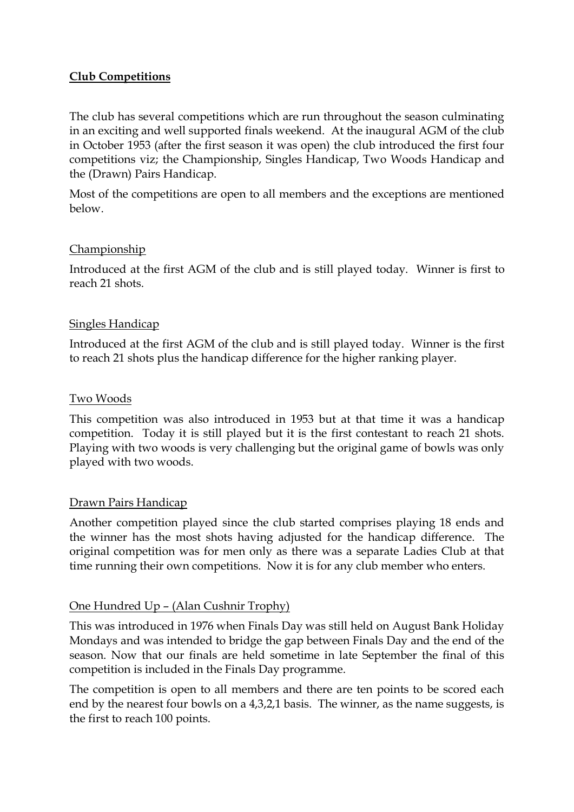## **Club Competitions**

The club has several competitions which are run throughout the season culminating in an exciting and well supported finals weekend. At the inaugural AGM of the club in October 1953 (after the first season it was open) the club introduced the first four competitions viz; the Championship, Singles Handicap, Two Woods Handicap and the (Drawn) Pairs Handicap.

Most of the competitions are open to all members and the exceptions are mentioned below.

### Championship

Introduced at the first AGM of the club and is still played today. Winner is first to reach 21 shots.

### Singles Handicap

Introduced at the first AGM of the club and is still played today. Winner is the first to reach 21 shots plus the handicap difference for the higher ranking player.

### Two Woods

This competition was also introduced in 1953 but at that time it was a handicap competition. Today it is still played but it is the first contestant to reach 21 shots. Playing with two woods is very challenging but the original game of bowls was only played with two woods.

## Drawn Pairs Handicap

Another competition played since the club started comprises playing 18 ends and the winner has the most shots having adjusted for the handicap difference. The original competition was for men only as there was a separate Ladies Club at that time running their own competitions. Now it is for any club member who enters.

#### One Hundred Up – (Alan Cushnir Trophy)

This was introduced in 1976 when Finals Day was still held on August Bank Holiday Mondays and was intended to bridge the gap between Finals Day and the end of the season. Now that our finals are held sometime in late September the final of this competition is included in the Finals Day programme.

The competition is open to all members and there are ten points to be scored each end by the nearest four bowls on a 4,3,2,1 basis. The winner, as the name suggests, is the first to reach 100 points.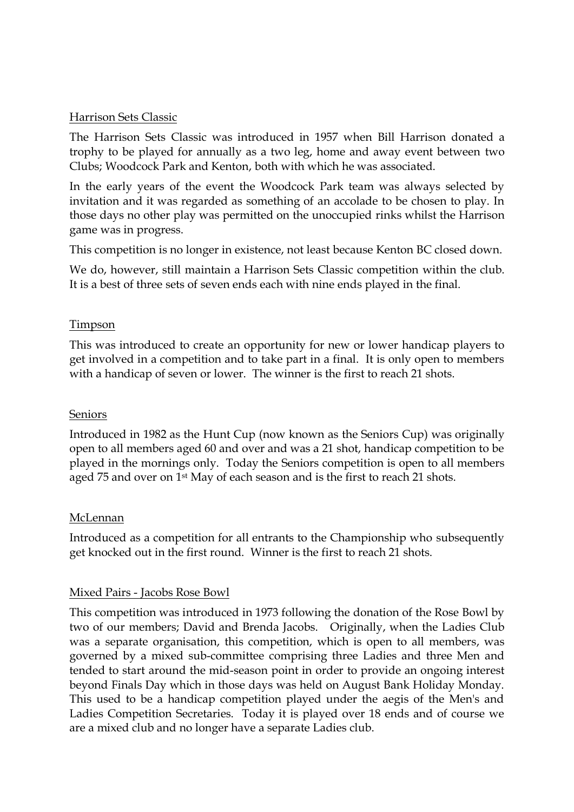### Harrison Sets Classic

The Harrison Sets Classic was introduced in 1957 when Bill Harrison donated a trophy to be played for annually as a two leg, home and away event between two Clubs; Woodcock Park and Kenton, both with which he was associated.

In the early years of the event the Woodcock Park team was always selected by invitation and it was regarded as something of an accolade to be chosen to play. In those days no other play was permitted on the unoccupied rinks whilst the Harrison game was in progress.

This competition is no longer in existence, not least because Kenton BC closed down.

We do, however, still maintain a Harrison Sets Classic competition within the club. It is a best of three sets of seven ends each with nine ends played in the final.

## Timpson

This was introduced to create an opportunity for new or lower handicap players to get involved in a competition and to take part in a final. It is only open to members with a handicap of seven or lower. The winner is the first to reach 21 shots.

#### Seniors

Introduced in 1982 as the Hunt Cup (now known as the Seniors Cup) was originally open to all members aged 60 and over and was a 21 shot, handicap competition to be played in the mornings only. Today the Seniors competition is open to all members aged 75 and over on 1<sup>st</sup> May of each season and is the first to reach 21 shots.

#### McLennan

Introduced as a competition for all entrants to the Championship who subsequently get knocked out in the first round. Winner is the first to reach 21 shots.

#### Mixed Pairs - Jacobs Rose Bowl

This competition was introduced in 1973 following the donation of the Rose Bowl by two of our members; David and Brenda Jacobs. Originally, when the Ladies Club was a separate organisation, this competition, which is open to all members, was governed by a mixed sub-committee comprising three Ladies and three Men and tended to start around the mid-season point in order to provide an ongoing interest beyond Finals Day which in those days was held on August Bank Holiday Monday. This used to be a handicap competition played under the aegis of the Men's and Ladies Competition Secretaries. Today it is played over 18 ends and of course we are a mixed club and no longer have a separate Ladies club.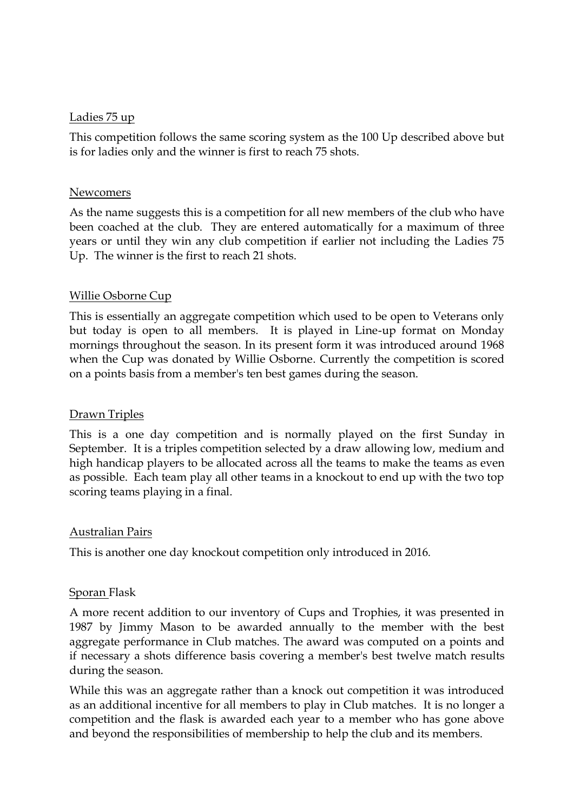#### Ladies 75 up

This competition follows the same scoring system as the 100 Up described above but is for ladies only and the winner is first to reach 75 shots.

### Newcomers

As the name suggests this is a competition for all new members of the club who have been coached at the club. They are entered automatically for a maximum of three years or until they win any club competition if earlier not including the Ladies 75 Up. The winner is the first to reach 21 shots.

## Willie Osborne Cup

This is essentially an aggregate competition which used to be open to Veterans only but today is open to all members. It is played in Line-up format on Monday mornings throughout the season. In its present form it was introduced around 1968 when the Cup was donated by Willie Osborne. Currently the competition is scored on a points basis from a member's ten best games during the season.

# Drawn Triples

This is a one day competition and is normally played on the first Sunday in September. It is a triples competition selected by a draw allowing low, medium and high handicap players to be allocated across all the teams to make the teams as even as possible. Each team play all other teams in a knockout to end up with the two top scoring teams playing in a final.

#### Australian Pairs

This is another one day knockout competition only introduced in 2016.

#### Sporan Flask

A more recent addition to our inventory of Cups and Trophies, it was presented in 1987 by Jimmy Mason to be awarded annually to the member with the best aggregate performance in Club matches. The award was computed on a points and if necessary a shots difference basis covering a member's best twelve match results during the season.

While this was an aggregate rather than a knock out competition it was introduced as an additional incentive for all members to play in Club matches. It is no longer a competition and the flask is awarded each year to a member who has gone above and beyond the responsibilities of membership to help the club and its members.